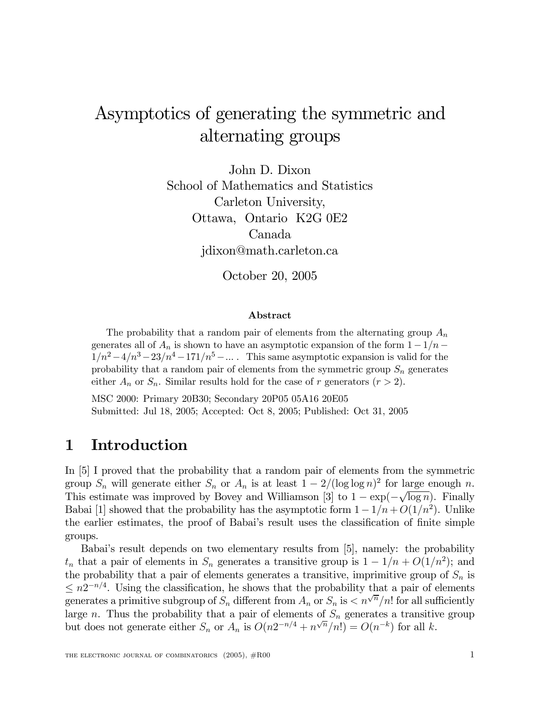# Asymptotics of generating the symmetric and alternating groups

John D. Dixon School of Mathematics and Statistics Carleton University, Ottawa, Ontario K2G 0E2 Canada jdixon@math.carleton.ca

October 20, 2005

#### Abstract

The probability that a random pair of elements from the alternating group  $A_n$ generates all of  $A_n$  is shown to have an asymptotic expansion of the form  $1 - 1/n$  $1/n^2 - 4/n^3 - 23/n^4 - 171/n^5 - \dots$ . This same asymptotic expansion is valid for the probability that a random pair of elements from the symmetric group  $S_n$  generates either  $A_n$  or  $S_n$ . Similar results hold for the case of r generators  $(r > 2)$ .

MSC 2000: Primary 20B30; Secondary 20P05 05A16 20E05 Submitted: Jul 18, 2005; Accepted: Oct 8, 2005; Published: Oct 31, 2005

# 1 Introduction

In [5] I proved that the probability that a random pair of elements from the symmetric group  $S_n$  will generate either  $S_n$  or  $A_n$  is at least  $1 - 2/(\log \log n)^2$  for large enough n. This estimate was improved by Bovey and Williamson [3] to  $1 - \exp(-\sqrt{\log n})$ . Finally Babai [1] showed that the probability has the asymptotic form  $1 - 1/n + O(1/n^2)$ . Unlike the earlier estimates, the proof of Babai's result uses the classification of finite simple groups.

Babai's result depends on two elementary results from [5], namely: the probability  $t_n$  that a pair of elements in  $S_n$  generates a transitive group is  $1 - 1/n + O(1/n^2)$ ; and the probability that a pair of elements generates a transitive, imprimitive group of  $S_n$  is  $\leq n2^{-n/4}$ . Using the classification, he shows that the probability that a pair of elements generates a primitive subgroup of  $S_n$  different from  $A_n$  or  $S_n$  is  $\lt n^{\sqrt{n}}/n!$  for all sufficiently large n. Thus the probability that a pair of elements of  $S_n$  generates a transitive group but does not generate either  $S_n$  or  $A_n$  is  $O(n2^{-n/4} + n^{\sqrt{n}}/n!) = O(n^{-k})$  for all k.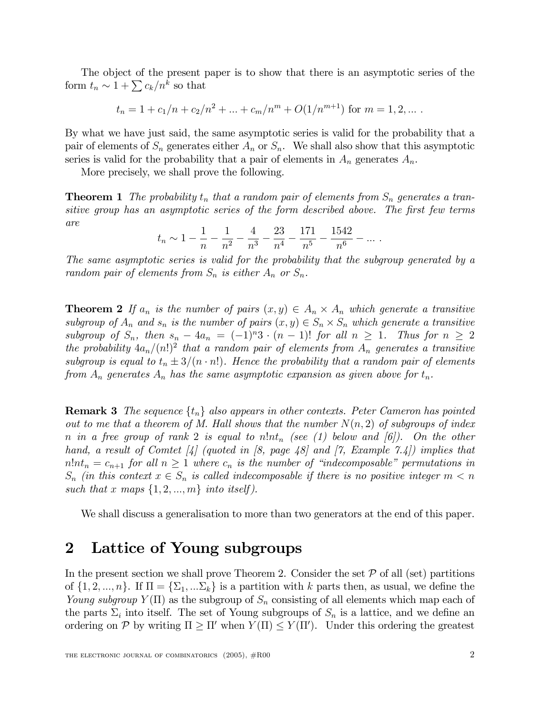The object of the present paper is to show that there is an asymptotic series of the form  $t_n \sim 1 + \sum c_k/n^k$  so that

$$
t_n = 1 + c_1/n + c_2/n^2 + \dots + c_m/n^m + O(1/n^{m+1})
$$
 for  $m = 1, 2, \dots$ .

By what we have just said, the same asymptotic series is valid for the probability that a pair of elements of  $S_n$  generates either  $A_n$  or  $S_n$ . We shall also show that this asymptotic series is valid for the probability that a pair of elements in  $A_n$  generates  $A_n$ .

More precisely, we shall prove the following.

**Theorem 1** *The probability*  $t_n$  *that a random pair of elements from*  $S_n$  *generates a transitive group has an asymptotic series of the form described above.* The *first few terms are*

$$
t_n \sim 1 - \frac{1}{n} - \frac{1}{n^2} - \frac{4}{n^3} - \frac{23}{n^4} - \frac{171}{n^5} - \frac{1542}{n^6} - \dots
$$

*The same asymptotic series is valid for the probability that the subgroup generated by a random pair of elements from*  $S_n$  *is either*  $A_n$  *or*  $S_n$ *.* 

**Theorem 2** If  $a_n$  is the number of pairs  $(x, y) \in A_n \times A_n$  which generate a transitive *subgroup* of  $A_n$  and  $s_n$  *is the number of pairs*  $(x, y) \in S_n \times S_n$  *which generate a transitive*  $subgroup$  of  $S_n$ , then  $s_n - 4a_n = (-1)^n 3 \cdot (n - 1)!$  *for all*  $n \ge 1$ *. Thus for*  $n \ge 2$  $\mathbb{R}^n$  *the* probability  $4a_n/(n!)^2$  that a random pair of elements from  $A_n$  generates a transitive *subgroup is equal* to  $t_n \pm 3/(n \cdot n!)$ *. Hence the probability that a random pair of elements from*  $A_n$  *generates*  $A_n$  *has the same asymptotic expansion as given above for*  $t_n$ .

**Remark 3** *The sequence*  $\{t_n\}$  *also appears in other contexts. Peter Cameron has pointed out to me that a theorem of M.* Hall *shows that the number*  $N(n, 2)$  *of subgroups of index*  $n$  *in*  $a$  *free group of rank* 2 *is equal to*  $n!nt_n$  (see (1) *below and* [6]). On the *other hand, a result of Comtet [4] (quoted in [8, page 48] and [7, Example 7.4]) implies that*  $n!nt_n = c_{n+1}$  *for all*  $n \ge 1$  *where*  $c_n$  *is the number of "indecomposable" permutations in*  $S_n$  *(in this context*  $x \in S_n$  *is called indecomposable if there is no positive integer*  $m < n$ such that x maps  $\{1, 2, ..., m\}$  *into itself*).

We shall discuss a generalisation to more than two generators at the end of this paper.

### 2 Lattice of Young subgroups

In the present section we shall prove Theorem 2. Consider the set  $P$  of all (set) partitions of  $\{1, 2, ..., n\}$ . If  $\Pi = \{\Sigma_1, ...\Sigma_k\}$  is a partition with k parts then, as usual, we define the *Young subgroup*  $Y(\Pi)$  as the subgroup of  $S_n$  consisting of all elements which map each of the parts  $\Sigma_i$  into itself. The set of Young subgroups of  $S_n$  is a lattice, and we define an ordering on  $\mathcal P$  by writing  $\Pi \geq \Pi'$  when  $Y(\Pi) \leq Y(\Pi')$ . Under this ordering the greatest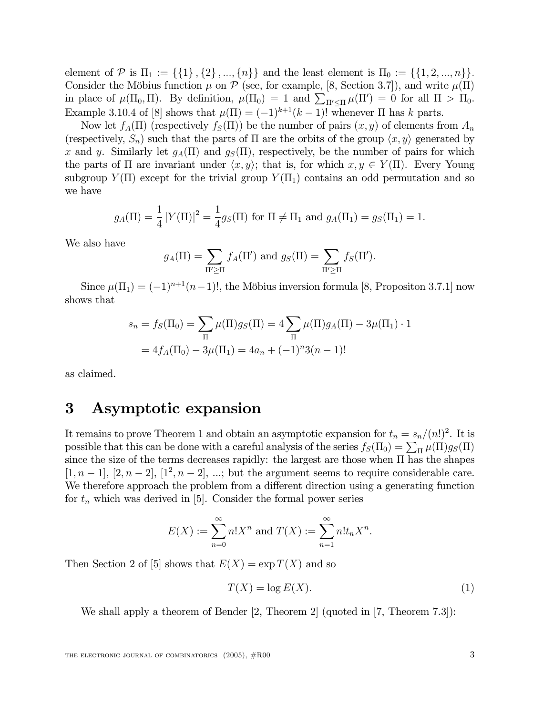element of P is  $\Pi_1 := \{\{1\}, \{2\}, ..., \{n\}\}\$ and the least element is  $\Pi_0 := \{\{1, 2, ..., n\}\}.$ Consider the Möbius function  $\mu$  on  $\mathcal P$  (see, for example, [8, Section 3.7]), and write  $\mu(\Pi)$ in place of  $\mu(\Pi_0, \Pi)$ . By definition,  $\mu(\Pi_0) = 1$  and  $\sum_{\Pi' \leq \Pi} \mu(\Pi') = 0$  for all  $\Pi > \Pi_0$ . Example 3.10.4 of [8] shows that  $\mu(\Pi) = (-1)^{k+1}(k-1)!$  whenever  $\Pi$  has k parts.

Now let  $f_A(\Pi)$  (respectively  $f_S(\Pi)$ ) be the number of pairs  $(x, y)$  of elements from  $A_n$ (respectively,  $S_n$ ) such that the parts of  $\Pi$  are the orbits of the group  $\langle x, y \rangle$  generated by x and y. Similarly let  $g_A(\Pi)$  and  $g_S(\Pi)$ , respectively, be the number of pairs for which the parts of  $\Pi$  are invariant under  $\langle x, y \rangle$ ; that is, for which  $x, y \in Y(\Pi)$ . Every Young subgroup  $Y(\Pi)$  except for the trivial group  $Y(\Pi_1)$  contains an odd permutation and so we have

$$
g_A(\Pi) = \frac{1}{4} |Y(\Pi)|^2 = \frac{1}{4} g_S(\Pi)
$$
 for  $\Pi \neq \Pi_1$  and  $g_A(\Pi_1) = g_S(\Pi_1) = 1$ .

We also have

$$
g_A(\Pi) = \sum_{\Pi' \geq \Pi} f_A(\Pi') \text{ and } g_S(\Pi) = \sum_{\Pi' \geq \Pi} f_S(\Pi').
$$

Since  $\mu(\Pi_1) = (-1)^{n+1}(n-1)!$ , the Möbius inversion formula [8, Propositon 3.7.1] now shows that

$$
s_n = f_S(\Pi_0) = \sum_{\Pi} \mu(\Pi) g_S(\Pi) = 4 \sum_{\Pi} \mu(\Pi) g_A(\Pi) - 3\mu(\Pi_1) \cdot 1
$$

$$
= 4f_A(\Pi_0) - 3\mu(\Pi_1) = 4a_n + (-1)^n 3(n-1)!
$$

as claimed.

# 3 Asymptotic expansion

It remains to prove Theorem 1 and obtain an asymptotic expansion for  $t_n = s_n/(n!)^2$ . It is possible that this can be done with a careful analysis of the series  $f_S(\Pi_0) = \sum_{\Pi} \mu(\Pi) g_S(\Pi)$ since the size of the terms decreases rapidly: the largest are those when  $\Pi$  has the shapes  $[1, n-1]$ ,  $[2, n-2]$ ,  $[1^2, n-2]$ , ...; but the argument seems to require considerable care. We therefore approach the problem from a different direction using a generating function for  $t_n$  which was derived in [5]. Consider the formal power series

$$
E(X) := \sum_{n=0}^{\infty} n! X^n
$$
 and  $T(X) := \sum_{n=1}^{\infty} n! t_n X^n$ .

Then Section 2 of [5] shows that  $E(X) = \exp T(X)$  and so

$$
T(X) = \log E(X). \tag{1}
$$

We shall apply a theorem of Bender [2, Theorem 2] (quoted in [7, Theorem 7.3]):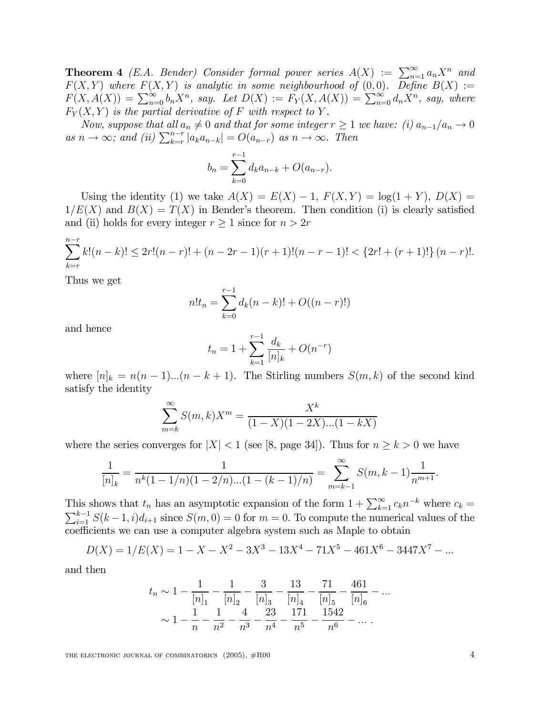**Theorem 4** (E.A. Bender) Consider formal power series  $A(X) := \sum_{n=1}^{\infty} a_n X^n$  and  $F(X,Y)$  where  $F(X,Y)$  is analytic in some neighbourhood of  $(0,0)$ . Define  $B(X) :=$  $F(X, A(X)) = \sum_{n=0}^{\infty} b_n X^n$ , say. Let  $D(X) := F_Y(X, A(X)) = \sum_{n=0}^{\infty} d_n X^n$ , say, where  $F_Y(X, Y)$  *is the partial derivative of* F *with respect to* Y.

*Now,* suppose that all  $a_n \neq 0$  and that for some integer  $r \geq 1$  we have: (i)  $a_{n-1}/a_n \to 0$ as  $n \to \infty$ ; and (ii)  $\sum_{k=r}^{n-r} |a_k a_{n-k}| = O(a_{n-r})$  as  $n \to \infty$ . Then

$$
b_n = \sum_{k=0}^{r-1} d_k a_{n-k} + O(a_{n-r}).
$$

Using the identity (1) we take  $A(X) = E(X) - 1$ ,  $F(X, Y) = log(1 + Y)$ ,  $D(X) =$  $1/E(X)$  and  $B(X) = T(X)$  in Bender's theorem. Then condition (i) is clearly satisfied and (ii) holds for every integer  $r \geq 1$  since for  $n > 2r$ 

$$
\sum_{k=r}^{n-r} k! (n-k)! \le 2r! (n-r)! + (n-2r-1)(r+1)!(n-r-1)! < \{2r! + (r+1)!\} \ (n-r)!.
$$

Thus we get

$$
n!t_n = \sum_{k=0}^{r-1} d_k(n-k)! + O((n-r)!)
$$

and hence

$$
t_n = 1 + \sum_{k=1}^{r-1} \frac{d_k}{[n]_k} + O(n^{-r})
$$

where  $[n]_k = n(n-1)...(n-k+1)$ . The Stirling numbers  $S(m, k)$  of the second kind satisfy the identity

$$
\sum_{m=k}^{\infty} S(m,k)X^{m} = \frac{X^{k}}{(1-X)(1-2X)...(1-kX)}
$$

where the series converges for  $|X| < 1$  (see [8, page 34]). Thus for  $n \geq k > 0$  we have

$$
\frac{1}{[n]_k} = \frac{1}{n^k(1 - 1/n)(1 - 2/n)...(1 - (k - 1)/n)} = \sum_{m=k-1}^{\infty} S(m, k-1) \frac{1}{n^{m+1}}.
$$

This shows that  $t_n$  has an asymptotic expansion of the form  $1 + \sum_{k=1}^{\infty} c_k n^{-k}$  where  $c_k =$  $\sum_{i=1}^{k-1} S(k-1, i)d_{i+1}$  since  $S(m, 0) = 0$  for  $m = 0$ . To compute the numerical values of the coefficients we can use a computer algebra system such as Maple to obtain

$$
D(X) = 1/E(X) = 1 - X - X^2 - 3X^3 - 13X^4 - 71X^5 - 461X^6 - 3447X^7 - \dots
$$

and then

$$
t_n \sim 1 - \frac{1}{[n]_1} - \frac{1}{[n]_2} - \frac{3}{[n]_3} - \frac{13}{[n]_4} - \frac{71}{[n]_5} - \frac{461}{[n]_6} - \dots
$$

$$
\sim 1 - \frac{1}{n} - \frac{1}{n^2} - \frac{4}{n^3} - \frac{23}{n^4} - \frac{171}{n^5} - \frac{1542}{n^6} - \dots
$$

THE ELECTRONIC JOURNAL OF COMBINATORICS  $(2005)$ ,  $#R00$   $4$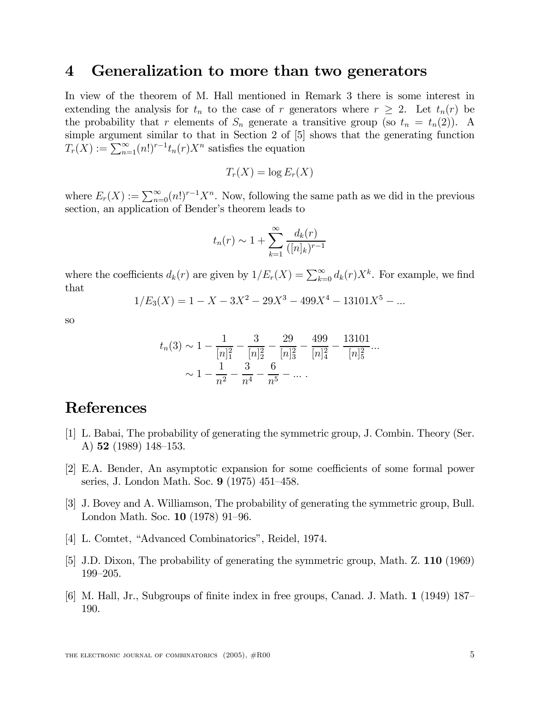### 4 Generalization to more than two generators

In view of the theorem of M. Hall mentioned in Remark 3 there is some interest in extending the analysis for  $t_n$  to the case of r generators where  $r \geq 2$ . Let  $t_n(r)$  be the probability that r elements of  $S_n$  generate a transitive group (so  $t_n = t_n(2)$ ). A simple argument similar to that in Section 2 of [5] shows that the generating function  $T_r(X) := \sum_{n=1}^{\infty} (n!)^{r-1} t_n(r) X^n$  satisfies the equation

$$
T_r(X) = \log E_r(X)
$$

where  $E_r(X) := \sum_{n=0}^{\infty} (n!)^{r-1} X^n$ . Now, following the same path as we did in the previous section, an application of Bender's theorem leads to

$$
t_n(r) \sim 1 + \sum_{k=1}^{\infty} \frac{d_k(r)}{([n]_k)^{r-1}}
$$

where the coefficients  $d_k(r)$  are given by  $1/E_r(X) = \sum_{k=0}^{\infty} d_k(r)X^k$ . For example, we find that

$$
1/E_3(X) = 1 - X - 3X^2 - 29X^3 - 499X^4 - 13101X^5 - \dots
$$

so

$$
t_n(3) \sim 1 - \frac{1}{[n]_1^2} - \frac{3}{[n]_2^2} - \frac{29}{[n]_3^2} - \frac{499}{[n]_4^2} - \frac{13101}{[n]_5^2} \dots
$$

$$
\sim 1 - \frac{1}{n^2} - \frac{3}{n^4} - \frac{6}{n^5} - \dots
$$

#### References

- [1] L. Babai, The probability of generating the symmetric group, J. Combin. Theory (Ser. A)  $52$  (1989) 148-153.
- [2] E.A. Bender, An asymptotic expansion for some coefficients of some formal power series, J. London Math. Soc.  $9(1975)451-458$ .
- [3] J. Bovey and A. Williamson, The probability of generating the symmetric group, Bull. London Math. Soc.  $10$  (1978) 91–96.
- [4] L. Comtet, "Advanced Combinatorics", Reidel, 1974.
- [5] J.D. Dixon, The probability of generating the symmetric group, Math. Z. 110 (1969) 199-205.
- [6] M. Hall, Jr., Subgroups of nite index in free groups, Canad. J. Math. 1 (1949) 187 190.